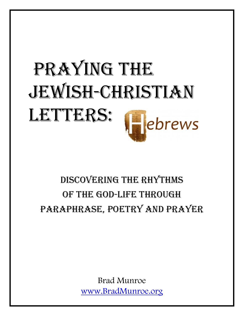# PRAYING THE JEWISH-CHRISTIAN LETTERS: ebrews

# DISCOVERING THE RHYTHMS OF THE GOD-LIFE THROUGH PARAPHRASE, POETRY AND PRAYER

Brad Munroe [www.BradMunroe.org](http://www.bradmunroe.org/)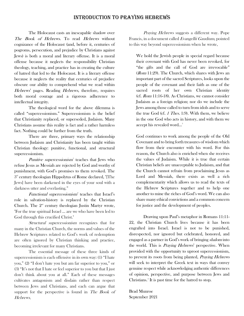# INTRODUCTION TO PRAYING HEBREWS

The Holocaust casts an inescapable shadow over The Book of Hebrews. To read Hebrews without cognizance of the Holocaust (and, before it, centuries of pogroms, persecution, and prejudice by Christians against Jews) is both a moral and literary offense. It is a moral offense because it neglects the responsibility Christian theology, teaching, and practice has in creating the culture of hatred that led to the Holocaust. It is a literary offense because it neglects the reality that centuries of prejudice obscure our ability to comprehend what we read within Hebrews' pages. Reading Hebrews, therefore, requires both moral courage and a rigorous adherence to intellectual integrity.

The theological word for the above dilemma is called "supercessionism." Supercessionism is the belief that Christianity replaced, or superseded, Judaism. Many Christians assume this reality is fact and a rather harmless fact. Nothing could be further from the truth.

There are three, primary ways the relationship between Judaism and Christianity has been taught within Christian theology: punitive, functional, and structural supercessionism.

Punitive supercessionism<sup>[1](#page-23-0)</sup> teaches that Jews who refuse Jesus as Messiah are rejected by God and worthy of punishment, with God's promises to them revoked. The  $3<sup>rd</sup>$  century theologian Hippolytus of Rome declared, "[The Jews] have been darkened in the eyes of your soul with a darkness utter and everlasting."

Functional supercessionism<sup>[2](#page-23-1)</sup> teaches that Israel's role in salvation-history is replaced by the Christian Church. The  $2<sup>nd</sup>$  century theologian Justin Martyr wrote, "For the true spiritual Israel ... are we who have been led to God through this crucified Christ."

Structural supercessionism recognizes that for many in the Christian Church, the norms and values of the Hebrew Scriptures related to God's work of redemption are often ignored by Christian thinking and practice, becoming irrelevant for many Christians.

The essential message of these three kinds of supercessionism is each offensive in its own way: (1) "I hate you," (2) "I don't hate you but am far superior to you," or (3) "It's not that I hate or feel superior to you but that I just don't think about you at all." Each of these messages cultivates antagonism and disdain rather than respect between Jews and Christians, and each can argue that support for the perspective is found in The Book of Hebrews.

Praying Hebrews suggests a different way. Pope Francis, in a document called Evangellii Gaudium, pointed to this way beyond supercessionism when he wrote,

We hold the Jewish people in special regard because their covenant with God has never been revoked, for "the gifts and the call of God are irrevocable" (Rom 11:29). The Church, which shares with Jews an important part of the sacred Scriptures, looks upon the people of the covenant and their faith as one of the sacred roots of her own Christian identity (cf. Rom 11:16-18). As Christians, we cannot consider Judaism as a foreign religion; nor do we include the Jews among those called to turn from idols and to serve the true God (cf. 1 Thes. 1:9). With them, we believe in the one God who acts in history, and with them we accept his revealed word…[3](#page-23-2)

God continues to work among the people of the Old Covenant and to bring forth treasures of wisdom which flow from their encounter with his word. For this reason, the Church also is enriched when she receives the values of Judaism. While it is true that certain Christian beliefs are unacceptable to Judaism, and that the Church cannot refrain from proclaiming Jesus as Lord and Messiah, there exists as well a rich complementarity which allows us to read the texts of the Hebrew Scriptures together and to help one another to mine the riches of God's word. We can also share many ethical convictions and a common concern for justice and the development of peoples.

Drawing upon Paul's metaphor in Romans 11:11- 22, the Christian Church lives because it has been engrafted into Israel. Israel is not to be punished, disrespected, nor ignored but celebrated, honored, and engaged as a partner in God's work of bringing shalom into the world. This is *Praying Hebrews*' perspective. When provided with the opportunity to uproot supercessionism, to prevent its roots from being planted, *Praying Hebrews* will seek to interpret the Greek text in ways that convey genuine respect while acknowledging authentic differences of opinion, perspective, and purpose between Jews and Christians.<sup>[4](#page-23-3)</sup> It is past time for the hatred to stop.

Brad Munroe September 2021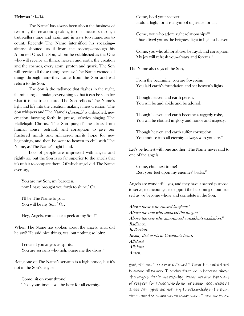#### Hebrews 1:1—14

The Name<sup>[5](#page-23-4)</sup> has always been about the business of restoring the creation: speaking to our ancestors through truth-tellers time and again and in ways too numerous to count. Recently The Name intensified his speaking almost shouted, as if from the rooftop—through his Anointed One, his Son, whom he established as the One who will receive all things: heaven and earth, the creation and the cosmos, every atom, proton and quark. The Son will receive all these things because The Name created all things through him—they came from the Son and will return to the Son.

The Son is the radiance that flashes in the night, illuminating all, making everything so that it can be seen for what it is—its true nature. The Son reflects The Name's light and life into the creation, making it new creation. The Son whispers and The Name's *dunamis*<sup>[6](#page-23-5)</sup> is unleashed, new creation bursting forth in praise, galaxies singing The Hallelujah Chorus. The Son purged<sup>[7](#page-23-6)</sup> the dross from human abuse, betrayal, and corruption to give our fractured minds and splintered spirits hope for new beginnings, and then he went to heaven to chill with The Name, as The Name's right hand.

Lots of people are impressed with angels and rightly so, but the Son is so far superior to the angels that it's unfair to compare them. Of which angel did The Name ever say,

You are my Son, my begotten, now I have brought you forth to shine.<sup>[8](#page-23-7)</sup> Or,

I'll be The Name to you, You will be my Son.[9](#page-23-8) Or,

Hey, Angels, come take a peek at my Son!<sup>10</sup>

When The Name has spoken about the angels, what did he say? He said nice things, yes, but nothing so lofty:

I created you angels as spirits, You are servants who help purge me the dross.<sup>[11](#page-23-10)</sup>

Being one of The Name's servants is a high honor, but it's not in the Son's league:

Come, sit on your throne! Take your time: it will be here for all eternity. Come, hold your scepter! Hold it high, for it is a symbol of justice for all.

Come, you who adore right relationships!<sup>[12](#page-23-11)</sup> I have fixed you as the brightest light in highest heaven.

Come, you who abhor abuse, betrayal, and corruption! My joy will refresh you—always and forever.<sup>[13](#page-23-12)</sup>

The Name also says of the Son,

From the beginning, you are Sovereign, You laid earth's foundation and set heaven's lights.

Though heaven and earth perish, You will be and abide and be adored,

Though heaven and earth become a raggedy robe, You will be clothed in glory and honor and majesty.

Though heaven and earth suffer corruption, You endure into all eternity—always who you are. $14$ 

Let's be honest with one another. The Name never said to one of the angels,

Come, chill next to me! Rest your feet upon my enemies' backs.<sup>[15](#page-23-14)</sup>

Angels are wonderful, yes, and they have a sacred purpose: to serve, to encourage, to support the becoming of our true self as we become whole and complete in the Son.

Above those who caused laughter.<sup>[16](#page-23-15)</sup> Above the one who silenced the tongue.<sup>[17](#page-23-16)</sup> Above the one who announced a maiden's exaltation.<sup>[18](#page-23-17)</sup> Radiance. Reflection. Reality that exists in Creation's heart. Alleluia! Alleluia! Amen.

God, it's me. I celebrate Jesus! I honor his name that is above all names. I rejoice that he is honored above the angels. Yet in my rejoicing, teach me also the ways of respect for those who do not or cannot see Jesus as I see him. Give me humility to acknowledge the many times and too numerous to count ways I and my fellow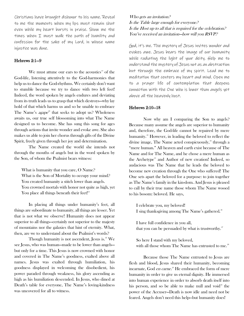Christians have brought dishonor to his name. Reveal to me the moments when my lips must remain shut even while my heart bursts in praise. Show me the times when I must walk the path of humility and confession for the sake of my Lord, in whose name injustice was done.

# Hebrews 2:1—9

We must attune our ears to the acoustics<sup>[19](#page-23-18)</sup> of the God-life, listening attentively to the God-harmonies that help us to dance the God-rhythms. We certainly don't want to stumble because we try to dance with two left feet! Indeed, the word spoken by angels endures and deviating from its truth leads us to grasp that which destroys—why lay hold of that which harms us and so be unable to embrace The Name's *agape*<sup>[20](#page-23-19)</sup> that seeks to adopt us? Wholeness awaits us, our true self blossoming into what The Name designed us to become. She has sung this song for ages through actions that invite wonder and evoke awe. She also makes us able to join her chorus through gifts of the Divine Spirit, freely given through her joy and determination.

The Name created the world she intends not through the mouths of angels but in the word spoken by the Son, of whom the Psalmist bears witness:

What is humanity that you care, O Name? What is the Son of Mortality to occupy your mind? You created humanity a stitch lower than angels. You crowned mortals with honor not quite as high, yet You place all things beneath their feet!<sup>[21](#page-24-0)</sup>

In placing all things under humanity's feet, all things are subordinate to humanity, all things are lesser. Yet that is not what we observe! Humanity does not appear superior to all things—certainly not superior to the majesty of mountains nor the galaxies that hint of eternity. What, then, are we to understand about the Psalmist's words?

Though humanity is not ascendent, Jesus is. $22$  We see Jesus, who was human—made to be lower than angels but only for a time. This Jesus is now crowned with honor and covered in The Name's goodness, exalted above all names. Jesus was exalted through humiliation, his goodness displayed in welcoming the disobedient, his power paraded through weakness, his glory ascending as high as his humiliation descended. In Jesus, who dined at Death's table for everyone, The Name's loving-kindness was uncovered for all to witness.

Who gets an invitation.<sup>2</sup> Is the Table large enough for everyone? Is the Host up to all that is required for the celebration? You've received an invitation—how will you RSVP?

God, it's me. The mystery of Jesus invites wonder and evokes awe. Jesus bears the image of our humanity while radiating the light of your deity. Help me to understand the mystery of Jesus not as an abstraction but through the embrace of my spirit. Lead me to meditation that centers my heart and mind. Open me to a prayer life of contemplation that deepens connection with the One who is lower than angels yet above all the heavenly host.

# Hebrews 2:10—18

Now why am I comparing the Son to angels? Because many assume the angels are superior to humanity and, therefore, the God-life cannot be repaired by mere humanity.<sup>[23](#page-24-2)</sup> However, in leading the beloved to reflect the divine image, The Name acted conspicuously, $24$  through a "mere human." All heaven and earth exist because of The Name and for The Name, and he chose a mere human as the Archetype<sup>[25](#page-24-4)</sup> and Author of new creation! Indeed, so audacious was The Name that he leads the beloved to become new creation through the One who suffered! The One sets apart the beloved for a purpose: to join together as The Name's family in the kin-dom. And Jesus is pleased to call by their true name those whom The Name wooed to his bosom: beloved. He says,

I celebrate you, my beloved! I sing thanksgiving among The Name's gathered.<sup>[26](#page-24-5)</sup>

I have full confidence in you all, that you can be persuaded by what is trustworthy. $2^7$ 

So here I stand with my beloved, with all those whom The Name has entrusted to me.<sup>[28](#page-24-7)</sup>

Because those The Name entrusted to Jesus are flesh and blood, Jesus shared their humanity, becoming incarnate, God *en carne*.<sup>[29](#page-24-8)</sup> He embraced the form of mere humanity in order to give us eternal dignity. He immersed into human experience in order to absorb death itself into his person, and so be able to make null and void $30$  the power of the Accuser—Death is now idle and need not be feared. Angels don't need this help—but humanity does!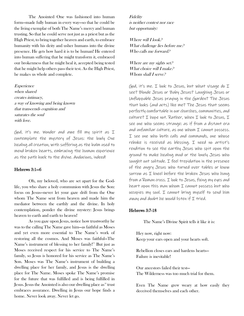The Anointed One was fashioned into human form—made fully human in every way—so that he could be the living exemplar of both The Name's mercy and human trusting. So that he could serve not just as a priest but as the High Priest, to bring together heaven and earth, to embrace humanity with his deity and usher humans into the divine presence. He gets how hard it is to be human! He entered into human suffering that he might transform it, embraced our brokenness that he might heal it, accepted being tested that he might help others pass their test. As the High Priest, he makes us whole and complete.

Experience when shared creates intimacy, a way of knowing and being known that transcends cognition and saturates the soul with love.

God, it's me. Wonder and awe fill my spirit as I contemplate the mystery of Jesus: the lowly One healing all creation, with suffering as the balm used to mend broken hearts, embracing the human experience as the path back to the divine. Audacious, indeed!

#### Hebrews 3:1—6

Oh, my beloved, who are set apart for the Godlife, you who share a holy communion with Jesus the Son: focus on Jesus—never let your gaze drift from the One whom The Name sent from heaven and made him the mediator between the earthly and the divine. In holy contemplation, ponder the divine mystery: Jesus brings heaven to earth and earth to heaven!

As you gaze upon Jesus, notice how trustworthy he was to the calling The Name gave him—as faithful as Moses and yet even more essential to The Name's work of restoring all the cosmos. And Moses was faithful—The Name's instrument of blessing to her family!<sup>[31](#page-24-10)</sup> But just as Moses received respect for his service to The Name's family, so Jesus is honored for his service as The Name's Son. Moses was The Name's instrument of building a dwelling place for her family, and Jesus is the dwelling place for The Name. Moses spoke The Name's promise for the future that was fulfilled and is being fulfilled in Jesus. Jesus the Anointed is also our dwelling place as<sup>32</sup> trust embraces assurance. Dwelling in Jesus our hope finds a home. Never look away. Never let go.

Fidelity is neither contest nor race but opportunity:

Where will I look? What challenge lies before me? Who calls me forward?

Where are my sights set? What choice will I make? Whom shall I serve?

God, it's me. I look to Jesus, but what visage do I see? Blonde Jesus or Baby Jesus? Laughing Jesus or Unflappable Jesus praying in the Garden? The Jesus that looks (and acts) like me? The Jesus that seems perfectly comfortable in our churches, communities, and  $c$ ulture? I hope not. Rather, when I look to Jesus, I see one who seems strange: as if from a distant era and unfamiliar culture, as one whom I cannot possess. I see one who both calls and commands, one whose rebuke is received as blessing. I need no artist's rendition to see the earthy Jesus who spit upon the ground to make healing mud or the lonely Jesus who sought out solitude. I feel trepidation in the presence of the angry Jesus who turned over tables or know sorrow as I kneel before the broken Jesus who hung from a Roman cross. I look to Jesus, fixing my eyes and heart upon this man whom I cannot possess but who occupies my soul. I cannot bring myself to send him away and doubt he would listen if  $I$  tried.

#### Hebrews 3:7-18

The Name's Divine Spirit tells it like it is:

Hey now, right now: Keep your ears open and your hearts soft.

Rebellion closes ears and hardens hearts— Failure is inevitable!

Our ancestors failed their test— The Wilderness was too much trial for them.

Even The Name grew weary at how easily they deceived themselves and each other.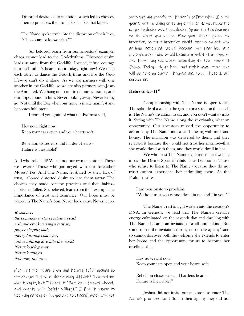Distorted desire led to intention, which led to choices, then to practices, then to habits—habits that killed.

The Name spoke truth into the distortion of their lives, "Chaos cannot know calm.["33](#page-24-12)

So, beloved, learn from our ancestors' example: chaos cannot lead to the God-rhythms. Distorted desire leads us away from the God-life. Instead, infuse courage into each other's hearts—do it today, right now! We need each other to dance the God-rhythms and live the Godlife—we can't do it alone! As we are partners with one another in the God-life, so we are also partners with Jesus the Anointed. We hang on to our trust, our assurance, and our hope, found in him. Never looking away. Never letting go. Not until the Day when our hope is made manifest and becomes fulfilment.

I remind you again of what the Psalmist said,

Hey now, right now: Keep your ears open and your hearts soft.

Rebellion closes ears and hardens hearts— Failure is inevitable!<sup>[34](#page-24-13)</sup>

And who rebelled? Was it not our own ancestors? Those we revere? Those who journeyed with our forefather Moses? Yes! And The Name, frustrated by their lack of trust, allowed distorted desire to lead them astray. The choices they made became practices and then habits habits that killed. So, beloved, learn from their example the importance of trust and assurance. Our hope must be placed in The Name's Son. Never look away. Never let go.

Resilience: the common oyster creating a pearl, a simple creek carving a canyon, prayer shaping faith, mercy forming character, justice infusing love into the world. Never looking away. Never letting go. Not now, not ever.

God, it's me. "Ears open and hearts soft" sounds so simple, yet I find it deceptively difficult! The author didn't say it, but I heard it: "Ears open (mouth closed) and hearts soft (spirit willing)."  $I$  find it easier to keep my ears open (to you and to others) when I'm not

scripting my speech. My heart is softer when  $I$  allow your Spirit to whisper to my spirit. O Name, make me eager to desire what you desire. Grant me the courage to do what you desire. May your desire guide my intention, so that intention would become an act, and actions repeated would become my practice, and practice over time would become a habit that shapes and forms my character according to the image of Jesus. Today—right here and right now—may your will be done on earth, through me, to all those I will encounter.

## $He$ brews 4:1–11 $^{35}$  $^{35}$  $^{35}$

Companionship with The Name is open to all. The solitude of a walk in the garden or a stroll on the beach is The Name's invitation to us, and you don't want to miss it. Sitting with The Name along the riverbanks, what an opportunity! Our ancestors missed the opportunity to accompany The Name into a land flowing with milk and honey. The invitation was delivered to them, and they rejected it because they could not trust her promise—that she would dwell with them, and they would dwell in her.

We who trust The Name experience her dwelling in us—the Divine Spirit inhabits us as her home. Those who refuse to listen to The Name (because they do not trust) cannot experience her indwelling them. As the Psalmist writes,

I am passionate to proclaim, "Without trust you cannot dwell in me and I in you.["36](#page-25-0)

The Name's rest is a gift written into the creation's DNA. In Genesis, we read that The Name's creative energy culminated on the seventh day and dwelling with The Name became an invitation for all humankind. But some refuse the invitation through obstinate apathy $37$  and so cannot discover both the welcome she extends to enter her home and the opportunity for us to become her dwelling place.

Hey now, right now: Keep your ears open and your hearts soft.

Rebellion closes ears and hardens hearts— Failure is inevitable!<sup>[38](#page-25-2)</sup>

Joshua did not invite our ancestors to enter The Name's promised land (for in their apathy they did not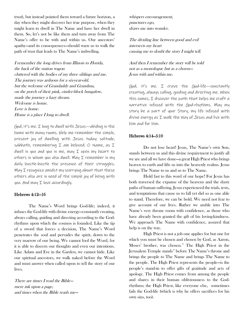trust), but instead pointed them toward a future horizon, a day when they might discover her true purpose, when they might learn to dwell in The Name and have her dwell in them. So, let's not be like them and turn away from The Name's offer to be with and within us. Our ancestors' apathy—and its consequences—should warn us to walk the path of trust that leads to The Name's indwelling.

I remember the long drives from Illinois to Florida, the back of the station wagon cluttered with the bodies of my three siblings and me. The journey was arduous for a six-year-old, but the welcome of Grandaddy and Grandma, on the porch of their pink, cinder-block bungalow, made the journey a hazy dream. Welcome is home. Love is home. Home is a place I long to dwell.

God, it's me. I long to dwell with Jesus—abiding in the home with many rooms. Help me remember the simple, present joy of dwelling with Jesus today: solitude, sabbath, remembering  $I$  am beloved. O Name, as  $I$ dwell in you and you in me, may I open my heart to others in whom you also dwell. May  $I$  remember in my daily hustle-bustle the presence of their struggles. May I recognize amidst my scurrying about that these others also are in need of the simple joy of being with you. And may I love accordingly.

### Hebrews 4:12—16

The Name's Word brings God-life; indeed, it infuses the God-life with divine energy—constantly creating, always calling, guiding and directing according to the Godrhythms upon which the cosmos is founded. Like the tip of a sword that forces a decision, The Name's Word penetrates the soul and pervades the spirit, down to the very marrow of our being. We cannot fool the Word, for it is able to discern our thoughts and even our intentions. Like Adam and Eve in the Garden, we cannot hide. Like our spiritual ancestors, we walk naked before the Word and must answer when called upon to tell the story of our lives.

There are times I read the Bible mere ink upon a page, and times when the Bible reads me—

whispers encouragement, punctures ego, draws me into wonder.

The dividing line between good and evil intersects my heart causing me to doubt the story I might tell.

And then I remember the story will be told not as a monologue but as a chorus— Jesus with and within me.

God, it's me. I crave the God-life—constantly creating, always calling, guiding and directing me. When this comes, I discover the path that helps me craft a narrative infused with the God-rhythms. May my story be a part of your Story, my life infused with divine energy as  $I$  walk the Way of Jesus and live with him and for him.

## Hebrews 4:14-5:10

Do not lose heart! Jesus, The Name's own Son, stands between us and this divine requirement to justify all we are and all we have done—a great High Priest who brings heaven to earth and lifts us into the heavenly realms. Jesus brings The Name to us and us to The Name.

Hold fast to this word of our hope! For Jesus has both traversed the expanse of the heavens and the dusty paths of human suffering. Jesus experienced the trials, tests, and temptations that cause us to fall yet did so as one able to stand. Therefore, we can be bold. We need not fear to give account of our lives. Rather we amble into The Name's very throne room with confidence, as those who have already been granted the gift of his loving-kindness. We approach The Name with confidence, assured that help is on the way.

High Priest is not a job one applies for but one for which you must be chosen and chosen by God, as Aaron, Moses' brother, was chosen. [39](#page-25-3) The High Priest in the Jerusalem Temple stands<sup>[40](#page-25-4)</sup> before The Name's throne and brings the people to The Name and brings The Name to the people. The High Priest represents the people—is the people's stand-in to offer gifts of gratitude and acts of apology. The High Priest comes from among the people and shares in their human obliviousness to the Godrhythms; the High Priest, like everyone else, sometimes fails the God-life (which is why he offers sacrifices for his own sins, too).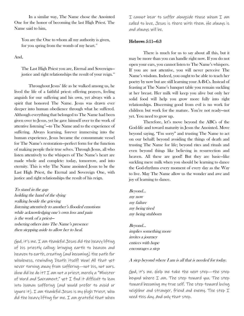In a similar way, The Name chose the Anointed One for the honor of becoming the last High Priest. The Name said to him,

You are the One to whom all my authority is given, for you spring from the womb of my heart.<sup>[41](#page-25-5)</sup>

And,

The Last High Priest you are, Eternal and Sovereign justice and right relationships the result of your reign.<sup>42</sup>

Throughout Jesus' life as he walked among us, he lived the life of a faithful priest: offering prayers, feeling anguish for our suffering and his own, yet always with a spirit that honored The Name. Jesus was drawn ever deeper into human obedience through what he suffered. Although everything that belonged to The Name had been given over to Jesus, yet he gave himself over to the work of attentive listening<sup>[43](#page-25-7)</sup>—to The Name and to the experience of suffering. Always learning, forever immersing into the human experience, Jesus became the consummate vessel for The Name's restoration—perfect form for the function of making people their true selves. Through Jesus, all who listen attentively to the whispers of The Name's heart are made whole and complete: today, tomorrow, and into eternity. This is why The Name anointed Jesus to be the Last High Priest, the Eternal and Sovereign One, with justice and right relationships the result of his reign.

To stand in the gap holding the hand of the dying walking beside the grieving listening attentively to another's flooded emotions while acknowledging one's own loss and pain is the work of a priest ushering others into The Name's presence then stepping aside to allow her to heal.

God, it's me.  $I$  am thankful Jesus did the heavy lifting of his priestly calling: bringing earth to heaven and heaven to earth, creating (and becoming) the path for wholeness, rewinding Death itself! Wow! All that yet never turning away from suffering—not his, not ours. How did he do it? I am not a priest, merely a "Minister of Word and Sacrament," yet I find it difficult to lean into human suffering (and would prefer to avoid or ignore it). I am thankful Jesus is my High Priest, who did the heavy lifting for me. I am grateful that when I cannot bear to suffer alongside those whom I am called to love, Jesus is there with them. He always is and always will be.

#### Hebrews 5:11—6:3

There is much for us to say about all this, but it may be more than you can handle right now. If you do not open your ears, you cannot listen to The Name's whispers. If you are not attentive, you will never perceive The Name's wisdom. Indeed, you ought to be able to teach her poetry by now but are still learning your A-B-Cs. Instead of feasting at The Name's banquet table you remain suckling at her breast. Her milk will keep you alive but only her solid food will help you grow more fully into right relationships. Discerning good from evil is no work for children but work for the mature. You're not ready—not yet. You need to grow up.

Therefore, let's move beyond the ABCs of the God-life and toward maturity in Jesus the Anointed. Move beyond saying, "I'm sorry" and trusting The Name to act on our behalf; beyond avoiding the things of death and trusting The Name for life; beyond rites and rituals and even beyond things like believing in resurrection and heaven. All these are good! But they are basic—like suckling mere milk when you should be learning to dance the God-rhythms every moment of every day as the Way to live. May The Name allow us the wonder and awe and joy of learning to dance.

Beyond… my now my failure my being tired my being stubborn

Beyond… implies something more invites a journey entices with hope encourages a step

#### A step beyond where I am is all that is needed for today.

God, it's me. Help me take the next step—the step beyond where I am. The step toward you. The step toward becoming my true self. The step toward loving neighbor and stranger, friend and enemy. The step I need this day. And only that step.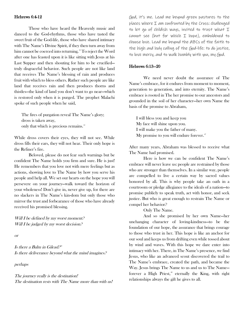#### Hebrews 6:4-12

Those who have heard the Heavenly music and danced to the God-rhythms, those who have tasted the sweet fruit of the God-life, those who have shared intimacy with The Name's Divine Spirit, if they then turn away from him cannot be coerced into returning.<sup>[44](#page-25-8)</sup> To reject the Word after one has feasted upon it is like sitting with Jesus at his Last Supper and then shouting for him to be crucified truly disgraceful behavior. Such people are not like land that receives The Name's blessing of rain and produces fruit with which to bless others. Rather such people are like land that receives rain and then produces thorns and thistles—the kind of land you don't want to go near—which is restored only when it is purged. The prophet Malachi spoke of such people when he said,

The fires of purgation reveal The Name's glory; dross is taken away, only that which is precious remains.<sup>[45](#page-25-9)</sup>

While dross covers their eyes, they will not see. While dross fills their ears, they will not hear. Their only hope is the Refiner's fire.

Beloved, please do not fear such warnings but be confident The Name holds you firm and sure. He is just! He remembers that you love not with mere feelings but as actions, showing love to The Name by how you serve his people and help all. We set our hearts on the hope you will persevere on your journey—walk toward the horizon of your wholeness! Don't give in, never give up, for there are no slackers in The Name's kin-dom but only those who mirror the trust and forbearance of those who have already received his promised blessing.

Will I be defined by my worst moment? Will I be judged by my worst decision.<sup>2</sup>

or

Is there a Balm in Gilead. $2^{46}$  $2^{46}$  $2^{46}$ Is there deliverance beyond what the mind imagines?

perhaps

The journey really is the destination! The destination rests with The Name more than with us!

God, it's me. Lead me beyond green pastures to the places where I am confronted by the Cross: challenged to let go of childish ways, invited to trust what I cannot see (but for which I hope), emboldened to choose love. Lead me beyond the ABCs of the faith to the high and holy calling of the God-life: to do justice, to love mercy, and to walk humbly with you, my God.

#### Hebrews 6:13—20

We need never doubt the assurance of The Name's embrace, for it endures from moment to moment, generation to generation, and into eternity. The Name's embrace is rooted in The her promise to our ancestors and grounded in the soil of her character—her own Name the basis of the promise to Abraham,

I will bless you and keep you My face will shine upon you. I will make you the father of many. My promise to you will endure forever.<sup>[47](#page-25-11)</sup>

After many years, Abraham was blessed to receive what The Name had promised.

Here is how we can be confident The Name's embrace will never leave us: people are restrained by those who are stronger than themselves. In a similar way, people are compelled to live a certain way by sacred values honored by all. This is why people take an oath in a courtroom or pledge allegiance to the ideals of a nation—to promise publicly to speak truth, act with honor, and seek justice. But who is great enough to restrain The Name or compel her behavior?

Only The Name.

And so she promised by her own Name—her unchanging character of loving-kindness—to be the foundation of our hope, the assurance that brings courage to those who trust in her. This hope is like an anchor for our soul and keeps us from drifting even while tossed about by wind and waves. With this hope we dare enter into intimacy with her. There, in The Name's presence, we find Jesus, who like an advanced scout discovered the trail to The Name's embrace, created the path, and became the Way. Jesus brings The Name to us and us to The Name— forever a High Priest,<sup>[48](#page-25-12)</sup> eternally the King, with right relationships always the gift he gives to all.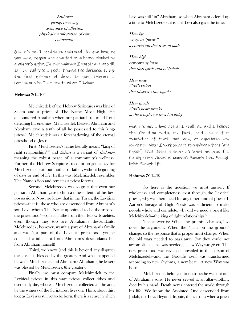# Embrace giving, receiving assurance of affection physical manifestation of care connection

God, it's me. I need to be embraced—by your love, by your care, by your presence felt as a heavy blanket on  $a$  winter's night. In your embrace  $I$  can sit and be still. In your embrace I peek through the darkness to eye the first glimmer of dawn. In your embrace I remember who  $I$  am and to whom  $I$  belong.

# Hebrews  $7:1-10^{49}$  $7:1-10^{49}$  $7:1-10^{49}$

Melchizedek of the Hebrew Scriptures was king of Salem and a priest of The Name Most High. He encountered Abraham when our patriarch returned from defeating his enemies. Melchizedek blessed Abraham and Abraham gave a tenth of all he possessed to this kingpriest.[50](#page-26-1) Melchizedek was a foreshadowing of the eternal priesthood of Jesus.

First, Melchizedek's name literally means "king of right relationships"<sup>[51](#page-26-2)</sup> and *Salem* is a variant of *shalom*meaning the robust peace of a community's wellness. Further, the Hebrew Scriptures recount no genealogy for Melchizedek—without mother or father, without beginning of days or end of life. In this way, Melchizedek resembles The Name's Son and remains a priest forever!

Second, Melchizedek was so great that even our patriarch Abraham gave to him a tithe—a tenth of his best possessions. Now, we know that in the Torah, the Levitical priests—that is, those who are descended from Abraham's son Levi, whom The Name appointed to be the tribe of the priesthood<sup>32</sup>—collect a tithe from their fellow Israelites, even though they too are Abraham's descendants. Melchizedek, however, wasn't a part of Abraham's family and wasn't a part of the Levitical priesthood, yet he collected a tithe—not from Abraham's descendants but from Abraham himself!

Third, we know (and this is beyond any dispute) the lesser is blessed by the greater. And what happened between Melchizedek and Abraham? Abraham (the lesser) was blessed by Melchizedek (the greater).

Finally, we must compare Melchizedek to the Levitical priests in this way: priests collect tithes and eventually die, whereas Melchizedek collected a tithe and, by the witness of the Scriptures, lives on. Think about this, too: as Levi was still yet to be born, there is a sense in which Levi was still "in" Abraham, so when Abraham offered up a tithe to Melchizedek, it is as if Levi also gave the tithe.

How far we go to "prove" a conviction that rests in faith

How high our own opinion that disregards others' beliefs

How wide God's vision that observes our hijinks

How much God's heart breaks at the lengths we travel to judge

God, it's me. I love Jesus. I really do. And I believe the Christian faith, my faith, rests on a firm foundation of truth and logic, of experience and conviction. Must I work so hard to convince others (and myself) that Jesus is superior? What happens if I merely trust Jesus is enough? Enough love. Enough light. Enough life.

# Hebrews 7:11—19

So here is the question we must answer: If wholeness and completeness exist through the Levitical priests, why was there need for any other kind of priest? If Aaron's lineage of High Priests was sufficient to make people whole and complete, why did we need a priest like Melchizedek—the king of right relationships?

The answer is: When the premise changes,<sup>[53](#page-26-4)</sup> so does the argument. When the "facts on the ground" change, so the response that is proper must change. When the old ways needed to pass away (for they could not accomplish all that was needed), a new Way was given. The new priesthood was revealed—unveiled in the person of Melchizedek—and the God-life itself was transformed according to new rhythms, a new beat. A new Way was born.

Melchizedek belonged to no tribe; he was not one of Abraham's sons. He never served at an altar—nothing died by his hand. Death never entered the world through his life. We know the Anointed One descended from Judah, not Levi. Beyond dispute, then, is this: when a priest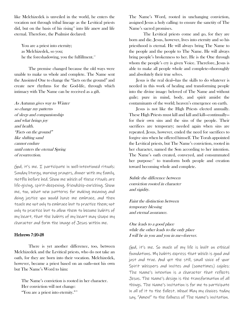like Melchizedek is unveiled in the world, he enters the vocation not through tribal lineage as the Levitical priests did, but on the basis of his rising $54$  into life anew and life eternal. Therefore, the Psalmist declared:

You are a priest into eternity; as Melchizedek, so you; he the foreshadowing, you the fulfillment.<sup>[55](#page-26-6)</sup>

The premise changed because the old ways were unable to make us whole and complete. The Name sent the Anointed One to change the "facts on the ground" and create new rhythms for the God-life, through which intimacy with The Name can be received as a gift.

As Autumn gives way to Winter so change my patterns of sleep and companionship and what brings joy and health. "Facts on the ground" like shifting sand cannot endure until enters the eternal Spring of resurrection.

God, it's me. I participate in well-intentioned rituals: Sunday liturgy, morning prayers, dinner with my family, Netflix before bed. Show me which of these rituals are life-giving, spirit-deepening, friendship-enriching. Show me, too, what new patterns for making meaning and doing justice you would have me embrace, and then teach me not only to embrace but to practice them; not only to practice but to allow them to become habits of my heart, that the habits of my heart may shape my character and form the image of Jesus within me.

#### Hebrews 7:20-28

There is yet another difference, too, between Melchizedek and the Levitical priests, who do not take an oath, for they are born into their vocation. Melchizedek, however, became a priest based on an oath—not his own but The Name's Word to him:

The Name's conviction is rooted in her character. Her conviction will not change:

"You are a priest into eternity."[56](#page-26-7)

The Name's Word, rooted in unchanging conviction, assigned Jesus a holy calling: to ensure the sanctity of The Name's sacred promises.

The Levitical priests come and go, for they are born and die. Jesus, however, lives into eternity and so his priesthood is eternal. He will always bring The Name to the people and the people to The Name. He will always bring people's brokenness to her. He is the One through whom the people's cry is given Voice. Therefore, Jesus is able to make all people whole and complete—thoroughly and absolutely their true selves.

Jesus is the real deal—has the skills to do whatever is needed in this work of healing and transforming people into the divine image: beloved of The Name and without guile; pure in mind, body, and spirit amidst the contaminants of the world; heaven's emergence on earth.

Jesus is not like the High Priests elected annually. These High Priests must kill and kill and kill—continually for their own sins and the sins of the people. Their sacrifices are temporary; needed again when sins are repeated. Jesus, however, ended the need for sacrifices to forgive sins when he offered himself. The Torah appointed the Levitical priests, but The Name's conviction, rooted in her character, named the Son according to her intention. The Name's oath created, conveyed, and consummated her purpose: $57$  to transform both people and creation toward becoming whole and complete.

Subtle the difference between conviction rooted in character and rigidity.

Faint the distinction between temporary blessing and eternal assurance.

One leads to a good place while the other leads to the only place I will be in you and you in me—forever.

God, it's me. So much of my life is built on ethical foundations. My habits express that which is good and just and true. And yet the still, small voice of your Spirit whispers and invites and (sometimes) cajoles: The Name's intention is a character that reflects Jesus. The Name's design is the transformation of all things. The Name's invitation is for me to participate in all of it to the fullest. Whoa! May my choices today say, "Amen!" to the fullness of The Name's invitation.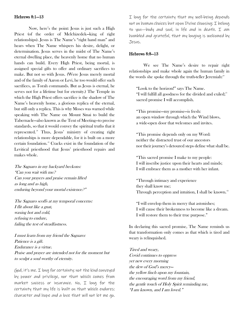#### Hebrews 8:1—13

Now, here's the point: Jesus is just such a High Priest (of the order of Melchizedek—king of right relationships). Jesus is The Name's "right hand man" and hears when The Name whispers his desire, delight, or determination. Jesus serves in the midst of The Name's eternal dwelling place, the heavenly home that no human hands can build. Every High Priest, being mortal, is assigned special gifts to offer and ordinary sacrifices to make. But not so with Jesus. (Were Jesus merely mortal and of the family of Aaron or Levi, he too would offer such sacrifices, as Torah commands. But as Jesus is eternal, he serves not for a lifetime but for eternity.) The Temple in which the High Priest offers sacrifice is the shadow of The Name's heavenly home, a glorious replica of the eternal, but still only a replica. This is why Moses was warned while speaking with The Name on Mount Sinai to build the Tabernacle—also known as the Tent of Meeting—to precise standards, so that it would convey the spiritual truths that it represented.<sup>38</sup> Thus, Jesus' ministry of creating right relationships is more dependable, for it is built on a more certain foundation.[59](#page-26-10) Cracks exist in the foundation of the Levitical priesthood that Jesus' priesthood repairs and makes whole.

The Saguaro in my backyard beckons: "Can you wait with me? Can your prayers and praise remain lifted as long and as high, enduring beyond your mortal existence?"

The Saguaro scoffs at my temporal concerns: I flit about like a gnat, waxing hot and cold, refusing to endure, failing the test of steadfastness.

I must learn from my friend the Saguaro: Patience is a gift. Endurance is a virtue. Praise and prayer are intended not for the moment but to sculpt a soul worthy of eternity.

God, it's me. I long for certainty: not the kind conveyed by power and privilege, nor that which comes from market success or insurance. No, I long for the certainty that my life is built on that which endures: character and hope and a love that will not let me go.

I long for the certainty that my well-being depends not on human choices but upon Divine choosing: I belong to you—body and soul, in life and in death. I am humbled and grateful, that my longing is welcomed by Jesus.

#### Hebrews 8:8—13

We see The Name's desire to repair right relationships and make whole again the human family in the words she spoke through the truth-teller Jeremiah:<sup>[60](#page-26-11)</sup>

"Look to the horizon!" says The Name. "I will fulfill all goodness for the divided and exiled; $61$ sacred promise I will accomplish.

"This promise—my promise—is fresh: an open window through which the Wind blows, a wide-open door that welcomes and invites.

"This promise depends only on my Word: neither the distracted trust of our ancestors nor their journey's detoured steps define what shall be.

"This sacred promise I make to my people: I will inscribe justice upon their hearts and minds; I will embrace them as a mother with her infant.

"Through intimacy and experience they shall know me; Through perception and intuition, I shall be known.<sup>[62](#page-26-0)</sup>

"I will envelop them in mercy that astonishes; I will cause their brokenness to become like a dream. I will restore them to their true purpose."

In declaring this sacred promise, The Name reminds us that transformation only comes as that which is tired and weary is relinquished.

Tired and weary, Covid continues to oppress yet new every morning the dew of God's mercy the yellow finch upon my fountain, the encouraging word from my friend, the gentle touch of Holy Spirit reminding me, "I am known, and I am loved."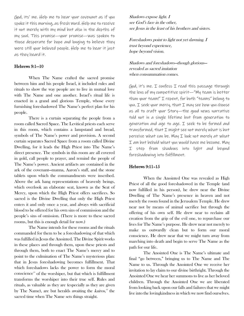God, its' me. Help me to hear your covenant as if you spoke it this morning, as fresh Word. Help me to receive it not merely with my mind but also in the depths of my soul. This promise—your promise—was spoken to those desperate for hope and longing to believe they were still your beloved people. Help me to hear it just as they heard it.

## Hebrews 9:1—10

When The Name crafted the sacred promise between him and his people Israel, it included rules and rituals to show the way people are to live in mutual love with The Name and one another. Israel's ritual life is enacted in a grand and glorious Temple, whose every furnishing foreshadowed The Name's perfect plan for his people.

There is a curtain separating the people from a room called Sacred Space. The Levitical priests each serve in this room, which contains a lampstand and bread, symbols of The Name's power and provision. A second curtain separates Sacred Space from a room called Divine Dwelling, for it leads the High Priest into The Name's direct presence. The symbols in this room are all covered in gold, call people to prayer, and remind the people of The Name's power. Ancient artifacts are contained in the ark of the covenant—manna, Aaron's staff, and the stone tablets upon which the commandments were inscribed. Above the ark hang representations of heavenly beings, which overlook an elaborate seat, known as the Seat of Mercy, upon which the High Priest offers sacrifices. So sacred is the Divine Dwelling that only the High Priest enters it and only once a year, and always with sacrificial blood to be offered for his own sins of commission and the people's sins of omission. (There is more to these sacred rooms, but this is enough detail for now.)

The Name intends for these rooms and the rituals commanded for them to be a foreshadowing of that which was fulfilled in Jesus the Anointed. The Divine Spirit works in these places and through them, upon these priests and through them, both to enact The Name's mercy and to point to the culmination of The Name's mysterious plan: that in Jesus foreshadowing becomes fulfillment. That which foreshadows lacks the power to form the moral  $\overline{\text{conscience}}$ <sup>[63](#page-26-13)</sup> of the worshiper, but that which is fulfillment transforms the worshiper into their true self. Rules and rituals, as valuable as they are (especially as they are given by The Name), are but heralds awaiting the *kairos*,<sup>[64](#page-26-14)</sup> the sacred time when The Name sets things straight.

Shadows expose light. I see God's face in the other, see Jesus in the least of his brothers and sisters.

Foreshadows point to light not yet dawning. I trust beyond experience, hope beyond vision.

Shadows and foreshadows—though glorious revealed as sacred imitation when consummation comes.

God, it's me. I confess I read this passage through the lens of my competitive spirit—"My team is better than your team!" I repent, for both "teams" belong to  $y$ ou. I seek your mercy, that I may see how you choose us all to craft your Story—the good news narrative told not in a single lifetime but from generation to generation and age to age. I seek to be formed and transformed, that I might see not merely what is but perceive what can be. May I look not merely at what I am but behold what you would have me become. May I step from shadows into light and beyond foreshadowing into fulfillment.

#### Hebrews 9:11–15

When the Anointed One was revealed as High Priest of all the good foreshadowed in the Temple (and now fulfilled in his person), he drew near the Divine Dwelling of The Name's presence in heaven and not merely the room found in the Jerusalem Temple. He drew near not by means of animal sacrifice but through the offering of his own self. He drew near to reclaim all creation from the grip of the evil one, to repurchase our lives for The Name's purpose. He drew near not merely to make us outwardly clean but to form our moral conscience. He drew near that we might turn away from marching into death and begin to serve The Name as the path for our life.

The Anointed One is The Name's ultimate and final "go between," bringing us to The Name and The Name to us. Through the Anointed One we receive her invitation to lay claim to our divine birthright. Through the Anointed One we hear her summons to live as her beloved children. Through the Anointed One we are liberated from looking back upon our falls and failures that we might live into the lovingkindness in which we now find ourselves.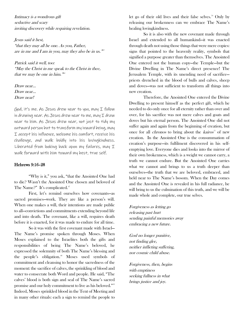Intimacy is a wondrous gift seductive and scary inviting discovery while requiring revelation.

Jesus said it best, "that they may all be one. As you, Father, are in me and I am in you, may they also be in us.  $\frac{365}{5}$  $\frac{365}{5}$  $\frac{365}{5}$ 

Patrick said it well, too: "May the Christ in me speak to the Christ in thee, that we may be one in him.  $\frac{1}{100}$ 

Draw near… Draw near… Draw near!

God, it's me. As Jesus drew near to you, may I follow in drawing near. As Jesus drew near to me, may  $I$  draw near to him. As Jesus drew near, not just to tidy my outward person but to transform my inward being, may I accept his influence, welcome his comfort, receive his challenge, and walk boldly into his lovingkindness. Liberated from looking back upon my failures, may I walk forward with him toward my best, true self.

#### Hebrews 9:16–28

"Why is it," you ask, "that the Anointed One had to die? Wasn't the Anointed One chosen and beloved of The Name?" It's complicated.<sup>[67](#page-26-17)</sup>

First, let's remind ourselves how covenants—as sacred promises—work. They are like a person's will. When one makes a will, their intentions are made public to all—convictions and commitments extending beyond life and into death. The covenant, like a will, requires death before it is enacted, for it was made to endure for all time.

So it was with the first covenant made with Israel— The Name's promise spoken through Moses. When Moses explained to the Israelites both the gifts and responsibilities of being The Name's beloved, he expressed the solemnity of both The Name's blessing and the people's obligation.<sup>[68](#page-26-18)</sup> Moses used symbols of commitment and cleansing to honor the sacredness of the moment: the sacrifice of calves, the sprinkling of blood and water to consecrate both Word and people. He said, "The calves' blood is both sign and seal of The Name's sacred promise and our holy commitment to live as his beloved.["69](#page-26-7) Indeed, Moses sprinkled blood in the Tent of Meeting and in many other rituals: each a sign to remind the people to

let go of their old lives and their false selves.<sup>[70](#page-26-8)</sup> Only by releasing our brokenness can we embrace The Name's healing lovingkindness.

So it is also with the new covenant made through Israel and extended to all humankind—it was enacted through death not using those things that were mere copies: signs that pointed to the heavenly reality, symbols that signified a purpose greater than themselves. The Anointed One entered not the human copy—the Temple—but the Divine Dwelling in The Name's direct presence! The Jerusalem Temple, with its unending need of sacrifice priests drenched in the blood of bulls and calves, sheep and doves—was not sufficient to transform all things into new creation.

Therefore, the Anointed One entered the Divine Dwelling to present himself as the perfect gift, which he needed to do only once for all eternity rather than over and over, for his sacrifice was not mere calves and goats and doves but his eternal person. The Anointed One did not suffer again and again from the beginning of creation, but once for all *chronos* to bring about the *kairos*<sup>7</sup> of new creation. In the Anointed One is the consummation of creation's purpose—its fulfilment discovered in his selfemptying love. Everyone dies and looks into the mirror of their own brokenness, which is a weight we cannot carry, a truth we cannot endure. But the Anointed One carries what we cannot and brings to us a truth deeper than ourselves—the truth that we are beloved, embraced, and held near to The Name's bosom. When the Day comes and the Anointed One is revealed in his full radiance, he will bring to us the culmination of this truth, and we will be made whole and complete, our true selves.

Forgiveness as letting go releasing past hurt sending painful memories away embracing a new future.

God no longer punitive, not finding glee, neither inflicting suffering, nor cosmic child abuse.

Forgiveness, then, begins with emptiness seeking fullness in what brings justice and joy.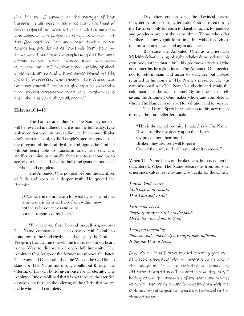God, it's me. I shudder at the thought of how barbaric rituals were in centuries past: the blood of calves required for reconciliation. I mock the ancients, who believed such barbarous things could represent the God-rhythms. Far more sophisticated is our generation, who decimates thousands from the air— If we cannot see them, did people really die? Far more urbane is our culture, whose urban landscapes overmatch ancient Jerusalem in the shedding of blood.  $O$  Name,  $I$  am so glad  $I$  have moved beyond my silly, ancient forebearers, who thought forgiveness was somehow painful. I am so, so glad to have adopted a more modern perspective that says forgiveness is easy, abundant, and, above all, cheap.<sup>[72](#page-26-20)</sup>

#### Hebrews 10:1—18

The Torah is an outline<sup>[73](#page-26-21)</sup> of The Name's good that will be revealed in fullness, but it is not the full reality. Like a shadow that presents one's silhouette but cannot display one's heart and soul, so the Temple's sacrifices guide us in the direction of the God-rhythms and signify the God-life without being able to transform one's true self. The sacrifices remind us annually, from year to year and age to age, of our need—and also that bulls and goats cannot make us whole and complete.

The Anointed One pointed beyond the sacrifices of bulls and goats to a deeper truth. He quoted the Psalmist:

O Name, you do not yearn for what I give beyond me; your desire is for what I give from within me not the riches of calves and coins, but the treasures of my heart.<sup>[74](#page-26-22)</sup>

What is given from beyond oneself is good and The Name commands it in accordance with Torah, to point toward the God-rhythms and to signify the God-life. Yet giving from within oneself, the treasures of one's heart, is the Way to discovery of one's full humanity. The Anointed One let go of the former to embrace the latter. The Anointed One established the Way of the God-life: to stand for The Name not through bulls but through the offering of his own body, given once for all eternity. The Anointed One established that it is not through the sacrifice of calves but through the offering of the Christ that we are made whole and complete.

Day after endless day, the Levitical priests slaughter livestock—turning Jerusalem's streams red during the Passover—only to return to slaughter again, for guiltless and goodness are not the same thing. Those who offer sacrifice take away guilt for a time, but without goodness one must return—again and again and again.

But since the Anointed One, as a priest like Melchizedek—the king of right relationships, offered his own body rather than a bull, his goodness affects all who encounter his lovingkindness. The Anointed One needed not to return again and again to slaughter but instead returned to his home in The Name's presence. He was commissioned with The Name's authority and awaits the culmination of the age to come. By his one act of selfgiving, the Anointed One makes whole and complete all whom The Name has set apart for salvation and for service.

The Divine Spirit bears witness to this new reality through the truth-teller Jeremiah:

"This is the sacred promise I make," says The Name. "I will inscribe my poetry upon their hearts, my prose upon their minds. Broken they are, yet I will forget it; Ornery they are, yet I will remember it no more."

When The Name heals our brokenness, bulls need not be slaughtered. When The Name releases us from our own orneriness, calves rest easy and give thanks for the Christ.

I spoke kind words (with rage in my heart): Was I just and good?

I wrote the check (begrudging every stroke of the pen): Did it draw me closer to God?

I stopped pretending (honesty and authenticity are surprisingly difficult): Is this the Way of Jesus?

God, it's me. May  $I$  grow toward becoming good even as I seek to look good. May my inward growing toward the image of Jesus be reflected in actions and attitudes toward those I encounter each day. May I both give you the treasures of my heart and express outwardly the truth you are forming inwardly. Help me, O Name, to realize your call upon me is both/and rather than either/or.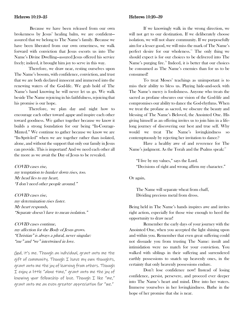#### Hebrews 10:19-25

Because we have been released from our own brokenness by Jesus' healing balm, we are confident assured that we belong to The Name's family. Because we have been liberated from our own orneriness, we walk forward with conviction that Jesus escorts us into The Name's Divine Dwelling—assured Jesus offered his service freely; indeed, it brought him joy to serve in this way.

Therefore, we draw near, resting ourselves upon The Name's bosom, with confidence, conviction, and trust that we are both declared innocent and immersed into the renewing waters of the God-life. We grab hold of The Name's hand knowing he will never let us go. We walk beside The Name rejoicing in his faithfulness, rejoicing that his promise is our hope.

Therefore, we plan day and night how to encourage each other toward agape and inspire each other toward goodness. We gather together because we know it builds a strong foundation for our being "In-Courage-Minted." We continue to gather because we know we are "In-Sprit-led" when we are together rather than isolated, alone, and without the support that only our family in Jesus can provide. This is important! And we need each other all the more as we await the Day of Jesus to be revealed.

COVID cases rise, my temptation to hunker down rises, too. My head lies to my heart, "I don't need other people around."

COVID cases rise, my determination rises faster. My heart responds, "Separate doesn't have to mean isolation."

COVID cases continue, my affection for the Body of Jesus grows. "Christian" is always a plural, never singular: "me" and "we" intertwined in love.

God, it's me. Though an individual, grant unto me the  $q$ ift of community. Though  $I$  have my own thoughts, grant unto me the joy of learning from others. Though I enjoy a little "alone time," grant unto me the joy of knowing your fellowship of love. Though I like "me," grant unto me an even greater appreciation for "we."

#### Hebrews 10:20—39

If we knowingly walk in the wrong direction, we will not get to our destination. If we deliberately choose isolation, we will not share community. If we purposefully aim for a lesser good, we will miss the mark of The Name's perfect desire for our wholeness.<sup>[75](#page-26-23)</sup> The only thing we should expect is for our choices to be delivered into The Name's purging fire.<sup>[76](#page-26-24)</sup> Indeed, it is better that our choices be consumed as The Name's enemies than for us to be consumed!

To treat Moses' teachings as unimportant is to miss their ability to bless us. Playing hide-and-seek with The Name's mercy is foolishness. Anyone who treats the sacred as profane obscures our vision of the God-life and compromises our ability to dance the God-rhythms. When we treat the profane as sacred, we obscure the beauty and blessing of The Name's Beloved, the Anointed One. His giving himself as an offering invites us to join him in a lifelong journey of discovering our best and true self. Why would we treat The Name's lovingkindness so contemptuously by rejecting her invitation to dance?

Have a healthy awe of and reverence for The Name's judgment. As the Torah and the Psalms speak:"

"I live by my values," says the Lord. "Decisions of right and wrong affirm my character."

Or again,

The Name will separate wheat from chaff, Dividing precious metal from dross.

Being held in The Name's hands inspires awe and invites right action, especially for those wise enough to heed the opportunity to draw near!

Remember the early days of your journey with the Anointed One, when you accepted the light shining upon and within you. Remember that even great suffering could not dissuade you from trusting The Name: insult and intimidation were no match for your conviction. You walked with siblings in their suffering and surrendered earthly possessions to snatch up heavenly ones, in the certainty that only heavenly possessions endure.

Don't lose confidence now! Instead of losing confidence, persist, persevere, and proceed ever deeper into The Name's heart and mind. Dive into her waters. Immerse yourselves in her lovingkindness. Bathe in the hope of her promise that she is near.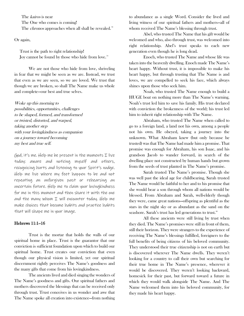The *kairos* is near

The One who comes is coming!

The *chronos* approaches when all shall be revealed.<sup>[78](#page-26-25)</sup>

Or again,

Trust is the path to right relationship! Joy cannot be found by those who hide from love.<sup>[79](#page-26-15)</sup>

We are not those who hide from love, shriveling in fear that we might be seen as we are. Instead, we trust that even as we are seen, so we are loved. We trust that though we are broken, so shall The Name make us whole and complete—our best and true selves.

Woke up this morning to possibilities, opportunities, challenges to be shaped, formed, and transformed or twisted, distorted, and warped, taking another step with your lovingkindness as companion on a journey toward becoming my best and true self.

God, it's me. Help me be present in the moments  $I$  live today: aware and noticing myself and others, recognizing hurts and listening to your Spirit's nudge. Help me live where my feet happen to be and not repeating an unforgiven past or rehearsing an uncertain future. Help me to claim your lovingkindness for me in this moment and then share it with the one and the many whom I will encounter today. Help me make choices that become habits and practice habits that will shape me in your image.

### Hebrews 11:1-16

Trust is the mortar that holds the walls of our spiritual home in place. Trust is the guarantor that our conviction is sufficient foundation upon which to build our spiritual home. Trust creates our conviction that even though our physical vision is limited, yet our spiritual discernment rightly perceives The Name's goodness and the many gifts that come from his lovingkindness.

The ancients lived and died singing the wonders of The Name's goodness and gifts. Our spiritual fathers and mothers discovered the blessings that can be received only through trust. Trust conceives in us wonder and awe that The Name spoke all creation into existence—from nothing

to abundance as a single Word. Consider the lived and living witness of our spiritual fathers and mothers—all of whom received The Name's blessing through trust.

Abel, who trusted The Name that his gift would be welcomed and who, also through trust, was welcomed into right relationship. Abel's trust speaks to each new generation even though he is long dead.

Enoch, who trusted The Name and whose life was taken into the heavenly dwelling. Enoch made The Name's heart happy. Without trust, it is impossible to make his heart happy, but through trusting that The Name is and loves, we are compelled to seek his face, which always shines upon those who seek him.

Noah, who trusted The Name enough to build a HUGE boat on nothing more than The Name's warning. Noah's trust led him to save his family. His trust declared with conviction the brokenness of the world; his trust led him to inherit right relationship with The Name.

Abraham, who trusted The Name when called to go to a foreign land, a land not his own, among a people not his own. He obeyed, taking a journey into the unknown. What Abraham knew (but only because he trusted) was that The Name had made him a promise. That promise was enough for Abraham, his son Isaac, and his grandson Jacob to wander forward, in search of the dwelling place not constructed by human hands but grown from the seeds of trust planted in The Name's promise.

Sarah trusted The Name's promise. Though she was well past the ideal age for childbearing, Sarah trusted The Name would be faithful to her and to his promise that she would bear a son through whom all nations would be blessed. From Abraham and Sarah, well-elderly though they were, came great nations—offspring as plentiful as the stars in the night sky or as abundant as the sand on the seashore. Sarah's trust has led generations to trust.<sup>[80](#page-26-16)</sup>

All these ancients were still living by trust when they died. The Name's promises were still in front of them, still their horizon. They were strangers to the experience of receiving The Name's blessings fulfilled, foreigners to the full benefits of being citizens of his beloved community. They understood their true citizenship is not on earth but is discovered wherever The Name dwells. They weren't looking for a country to call their own but searching for their true home in The Name's presence, wherever it would be discovered. They weren't looking backward, homesick for their past, but forward toward a future in which they would walk alongside The Name. And The Name welcomed them into his beloved community, for they made his heart happy.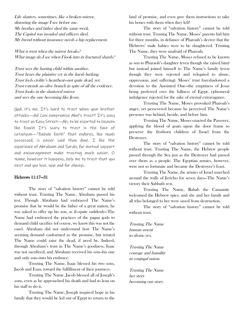Life shatters, sometimes, like a broken mirror, distorting the image I see before me. My brother and father died the same week. The Capitol was invaded and officers died. My friend without insurance needs a hip replacement.

What is trust when the mirror breaks.<sup>2</sup> What image do I see when I look into its fractured shards?

Trust sees the hurting child within another. Trust hears the plaintive cry in the harsh barking. Trust feels civility's heartbeat—not quite dead, yet. Trust extends an olive branch in spite of all the evidence. Trust looks in the shattered mirror and sees the one becoming like Jesus.

God, it's me. It's hard to trust when your brother attacks—did Cain compromise Abel's trust? It's easy to trust on Easy Street—Ah, to be escorted to heaven like Enoch! It's scary to trust in the face of cataclysm—"foxhole faith" that endures, like Noah possessed, is easier said than done. I like the experience of Abraham and Sarah, for mutual support and encouragement make trusting much easier. O Name, however it happens, help me to trust that you exist and you love, now and for always.

# Hebrews 11:17—31

The story of "salvation history" cannot be told without trust. Trusting The Name, Abraham passed his test. Though Abraham had embraced The Name's promise that he would be the father of a great nation, he was asked to offer up his son, as if—quite suddenly—The Name had embraced the practices of the pagan gods to demand child sacrifice (of course, we know this was not the case). Abraham did not understand how The Name's seeming demand conformed to the promise, but trusted The Name could raise the dead, if need be. Indeed, through Abraham's trust in The Name's goodness, Isaac was not sacrificed, and Abraham received his son—his one and only son—into his embrace.

Trusting The Name, Isaac blessed his two sons, Jacob and Esau, toward the fulfillment of their journeys.

Trusting The Name, Jacob blessed all of Joseph's sons, even as he approached his death and had to lean on his staff to do it.

Trusting The Name, Joseph inspired hope in his family that they would be led out of Egypt to return to the

land of promise, and even gave them instructions to take his bones with them when they left!

The story of "salvation history" cannot be told without trust. Trusting The Name, Moses' parents hid him for three months, in defiance of Pharoah's decree that the Hebrews' male babies were to be slaughtered. Trusting The Name, they were unafraid of Pharoah.

Trusting The Name, Moses refused to be known as son to Pharaoh's daughter (even though she raised him) but instead joined himself to The Name's family (even though they were rejected and relegated to abuse, oppression, and suffering). Moses' trust foreshadowed a devotion to the Anointed One—the emptiness of Jesus being preferred over the fullness of Egypt, ephemeral indulgence rejected for the sake of eternal extravagance.

Trusting The Name, Moses provoked Pharoah's anger, yet persevered because he perceived The Name's presence was behind, beside, and before him.

Trusting The Name, Moses enacted the Passover, applying the blood of goats upon the door frame to preserve the firstborn children of Israel from the Destroyer.

The story of "salvation history" cannot be told without trust. Trusting The Name, the Hebrew people passed through the Sea just as the Destroyer had passed over them as a people. The Egyptian armies, however, were not so fortunate and became the Destroyer's feast.

Trusting The Name, the armies of Israel marched around the walls of Jericho for seven days—The Name's victory their Sabbath rest.

Trusting The Name, Rahab the Canaanite welcomed the Hebrew spies, and she and her family and all who belonged to her were saved from destruction.

The story of "salvation history" cannot be told without trust.

Trusting The Name human assent to divine yes.

Trusting The Name courage and humility in conjugal union.

Trusting The Name her story becoming our story.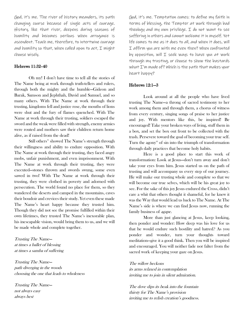God, it's me. The river of history meanders, its path changing course because of single acts of courage. History, like that river, deepens during seasons of humility and becomes perilous when arrogance is ascendent. Teach me, therefore, to intertwine courage and humility so that, when called upon to act, I might choose wisely.

#### Hebrews 11:32–40

Oh my! I don't have time to tell all the stories of The Name being at work through truth-tellers and rulers, through both the mighty and the humble—Gideon and Barak, Samson and Jephthah, David and Samuel, and so many others. With The Name at work through their trusting, kingdoms fell and justice rose, the mouths of lions were shut and the fury of flames quenched. With The Name at work through their trusting, soldiers escaped the sword and the weak were filled with strength, enemy armies were routed and mothers saw their children return home alive, as if raised from the dead!

Still others<sup>[81](#page-26-26)</sup> showed The Name's strength through their willingness and ability to endure opposition. With The Name at work through their trusting, they faced angry mobs, unfair punishment, and even imprisonment. With The Name at work through their trusting, they were executed—stones thrown and swords swung, some even sawed in two! With The Name at work through their trusting, they were clothed in poverty and adorned with persecution. The world found no place for them, so they wandered the deserts and camped in the mountains, caves their boudoir and crevices their study. Yet even these made The Name's heart happy because they trusted him. Though they did not see the promise fulfilled within their own lifetimes, they trusted The Name's inexorable plan, his inescapable vision, would bring them to us, and we will be made whole and complete together.

Trusting The Name at times a ballet of blessing at times a samba of suffering

Trusting The Name path diverging in the woods choosing the one that leads to wholeness

Trusting The Name not always easy always best

God, it's me. Temptation comes: to define my faith in terms of blessing, the Tempter at work through bad theology and my own privilege. I do not want to see suffering in others and cannot welcome it in myself. Yet life comes to me as it does to all, and when it does, will I affirm you are with me even then? When confronted by opposition, will  $I$  seek ways to have you at work through my trusting, or choose to show the bastards what I'm made of? Which is the path that makes your heart happy?

## Hebrews 12:1—3

Look around at all the people who have lived trusting The Name—a throng of sacred testimony to her work among them and through them, a chorus of witness from every century, singing songs of praise to her justice and joy. With mentors like this, be inspired! Be encouraged! Take your broken ways of living, stuff them in a box, and set the box out front to be collected with the trash. Persevere toward the goal of becoming your true self. Turn the agony<sup>[82](#page-26-27)</sup> of sin into the triumph of transformation through daily practices that become holy habits.

Here is a good place to start this work of transformation: Look at Jesus—don't turn away and don't take your eyes from him. Jesus started us on the path of trusting and will accompany us every step of our journey. He will make our trusting whole and complete so that we will become our true selves, which will be his great joy to see. For the sake of this joy Jesus endured the Cross, didn't care a whit that others thought it shameful, for he knew it was the Way that would lead us back to The Name. At The Name's side is where we can find Jesus now, running the family business of *agape*.

More than just glancing at Jesus, keep looking, then ponder and wonder: How deep was his love for us that he would endure such hostility and hatred? As you ponder and wonder, turn your thoughts toward meditation—give it a good think. Then you will be inspired and encouraged. You will neither fade nor falter from the sacred work of keeping your gaze on Jesus.

The willow beckons its arms relaxed in contemplation inviting me to join in silent admiration.

The dove dips its beak into the fountain thirsty for The Name's provision inviting me to relish creation's goodness.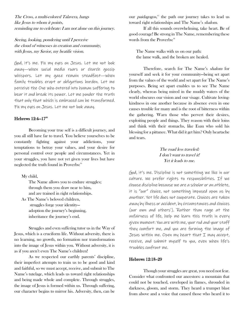The Cross, a multi-colored Talavera, hangs like Jesus to whom it points, reminding me to celebrate: I am not alone on this journey.

Seeing, looking, pondering until I perceive the cloud of witnesses in creation and community, with Jesus, my Savior, my beatific vision.

God, it's me. Fix my eyes on Jesus. Let me not look away—when social media roars or church gossip whispers. Let my gaze remain steadfast—when family troubles erupt or obligations burden. Let me perceive the One who entered into human suffering to bear it and break its power. Let me ponder the truth that only that which is embraced can be transformed. Fix my eyes on Jesus. Let me not look away.

# Hebrews 12:4-17<sup>88</sup>

Becoming your true self is a difficult journey, and you all still have far to travel. You believe yourselves to be constantly fighting against your addictions, your temptations to betray your values, and your desire for personal control over people and circumstances. Yet in your struggles, you have not yet given your lives but have neglected the truth found in Proverbs:<sup>[84](#page-26-29)</sup>

My child,

The Name allows you to endure struggles; through them you draw near to him, and are trained in right relationships.

As The Name's beloved children, struggles forge your identity adoption the journey's beginning, inheritance the journey's end.

Struggles and even suffering tutor us in the Way of Jesus, which is a cruciform life. Without adversity, there is no learning, no growth, no formation nor transformation into the image of Jesus within you. Without adversity, it is as if you aren't even The Name's children!

As we respected our earthly parents' discipline, their imperfect attempts to train us to be good and kind and faithful, so we must accept, receive, and submit to The Name's tutelage, which leads us toward right relationships and being made whole and complete. Through struggles, the image of Jesus is formed within us. Through suffering, our character begins to mirror his. Adversity, then, can be

our *paidagogos*,<sup>[85](#page-26-20)</sup> the path our journey takes to lead us toward right relationships and The Name's shalom.

If all this sounds overwhelming, take heart. Be of good courage! Be strong in The Name, remembering these words from the Proverbs:<sup>[86](#page-26-30)</sup>

The Name walks with us on our path: the lame walk, and the broken are healed.

Therefore, search for The Name's shalom for yourself and seek it for your community—being set apart from the values of the world and set apart for The Name's purposes. Being set apart enables us to see The Name clearly, whereas being mired in the muddy waters of the world obscures our vision and our visage. Cultivate lovingkindness in one another because its absence even in one causes trouble for many and is the root of bitterness within the gathering. Warn those who pervert their desires, exploiting people and things. They reason with their loins and think with their stomachs, like Esau who sold his blessing for a pittance. What did it get him? Only heartache and tears.

# The road less traveled: I don't want to travel it! Yet it leads to me.

God, it's me. Discipline is not something we like in our culture. We prefer rights to responsibilities. If we choose discipline because we are a scholar or an athlete, it is "our" choice, not something imposed upon us by another. Yet life does not cooperate. Choices are taken away by illness or accident, by circumstances and choices (our own and others'). Rather than rage at the unfairness of life, help me learn this truth in every given moment: You are with me, your rod and your staff they comfort me, and you are forming the image of Jesus within me. Open my heart that I may accept, receive, and submit myself to you, even when life's troubles confront me.

## Hebrews 12:18-29

Though your struggles are great, you need not fear. Consider what confronted our ancestors: a mountain that could not be touched, enveloped in flames, shrouded in darkness, gloom, and storm. They heard a trumpet blast from above and a voice that caused those who heard it to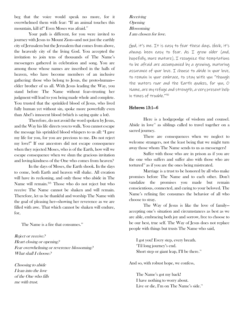beg that the voice would speak no more, for it overwhelmed them with fear: "If an animal touches this mountain, kill it!" Even Moses was afraid.<sup>[87](#page-26-31)</sup>

Your path is different, for you were invited to journey with Jesus to Mount Zion—and not just the earthly city of Jerusalem but the Jerusalem that comes from above, the heavenly city of the living God. You accepted the invitation to join tens of thousands of The Name's messengers gathered in celebration and song. You are among those whose names are inscribed in the halls of heaven, who have become members of an inclusive gathering: those who belong to Jesus, the proto-human elder brother of us all. With Jesus leading the Way, you stand before The Name without fear—trusting her judgment will lead to you being made whole and complete. You trusted that the sprinkled blood of Jesus, who lived fully human yet without sin, spoke more powerfully even than Abel's innocent blood (which is saying quite a lot).

Therefore, do not avoid the word spoken by Jesus, and the Way his life directs you to walk. You cannot escape the message his sprinkled blood whispers to us all: "I gave my life for you, for you are precious to me. Do not reject my love!" If our ancestors did not escape consequence when they rejected Moses, who is of the Earth, how will we escape consequence when we shun the gracious invitation and loving-kindness of the One who comes from heaven?

In the days of Moses, the Earth shook. In the days to come, both Earth and heaven will shake. All creation will have its reckoning, and only those who abide in The Name will remain.<sup>[88](#page-26-32)</sup> Those who do not reject but who receive The Name cannot be shaken and will remain. Therefore, let us be thankful and worship The Name with the goal of pleasing her—showing her reverence as we are filled with awe. That which cannot be shaken will endure, for,

The Name is a fire that consumes.<sup>[89](#page-26-11)</sup>

Reject or receive? Heart closing or opening? Fear overwhelming or reverence blossoming? What shall I choose?

Choosing to abide I lean into the love of the One who fills me with trust.

**Receiving Opening Blossoming** I am chosen for love.

God, it's me. It is easy to fear these days. Heck, it's always been easy to fear. As I grow older (and, hopefully, more mature), I recognize the temptations to be afraid are accompanied by a growing, maturing assurance of your love. I choose to abide in your love, to remain in your embrace, to stay with you "though the waters roar and the Earth quakes, for you, O Name, are my refuge and strength, a very present help in times of trouble."[90](#page-26-33)

# Hebrews 13:1—6

Here is a hodgepodge of wisdom and counsel. Abide in love<sup>[91](#page-26-34)</sup> as siblings called to travel together on a sacred journey.

There are consequences when we neglect to welcome strangers, not the least being that we might turn away those whom The Name sends to us as messengers!

Suffer with those who are in prison as if you are the one who suffers and suffer also with those who are tortured<sup>[92](#page-26-35)</sup> as if you are the ones being mistreated.

Marriage is a trust to be honored by all who make promises before The Name and to each other. Don't vandalize the promises you made but remain conscientious, connected, and caring to your beloved. The Name's refining fire consumes the behavior of all who choose to stray.

The Way of Jesus is like the love of family accepting one's situation and circumstances as best as we are able, embracing both joy and sorrow, free to choose to be our best, true self. The Way of Jesus does not replace people with things but trusts The Name who said,

I got you! Every step, every breath. 'Til long journey's end. Short step or giant leap, I'll be there.<sup>[93](#page-26-36)</sup>

And so, with robust hope, we confess,

The Name's got my back! I have nothing to worry about. Live or die, I'm on The Name's side.<sup>94</sup>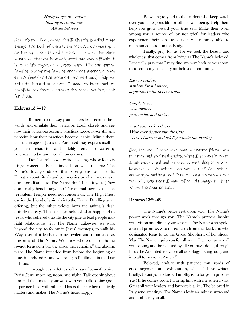# Hodgepodge of wisdom Sharing in community All are beloved

God, it's me. The Church, YOUR Church, is called many things: the Body of Christ, the Beloved Community, a gathering of saints and sinners. It is also the place where we discover how delightful and how difficult it is to do life together in Jesus' name. Like our human families, our church families are places where we learn to love (and find the lessons trying at times). Help me both to learn the lessons I need to learn and be beneficial to others in learning the lessons you have set for them.

# Hebrews 13:7—19

Remember the way your leaders live; recount their words and emulate their behavior. Look closely and see how their behaviors become practices. Look closer still and perceive how their practices become habits. Mimic them that the image of Jesus the Anointed may express itself in you. His character and fidelity remain unwavering yesterday, today and into all tomorrows.

Don't stumble over weird teachings whose focus is fringe concerns. Focus instead on what matters: The Name's loving-kindness that strengthens our hearts. Debates about rituals and ceremonies or what foods make one more likable to The Name don't benefit you. (They don't really benefit anyone.) The animal sacrifices in the Jerusalem Temple need not concern us. The High Priest carries the blood of animals into the Divine Dwelling as an offering, but the other priests burn the animal's flesh outside the city. This is all symbolic of what happened to Jesus, who suffered outside the city gate to lead people into right relationship with The Name. Likewise, we walk beyond the city, to follow in Jesus' footsteps, to walk his Way, even if it leads us to be reviled and repudiated as unworthy of The Name. We know where our true home is—not Jerusalem but the place that remains, $\frac{95}{5}$  the abiding place The Name intended from before the beginning of time, intends today, and will bring to fulfillment in the Day of Jesus.

Through Jesus let us offer sacrifices—of praise! Praise Jesus morning, noon, and night! Talk openly about him and then match your walk with your talk—doing good in partnership<sup>[96](#page-26-14)</sup> with others. This is the sacrifice that truly matters and makes The Name's heart happy.

Be willing to yield to the leaders who keep watch over you as responsible for others' well-being. Help them help you grow toward your true self. Make their work among you a source of joy not grief, for leaders who experience their jobs as drudgery are rarely able to maintain cohesion in the Body.

Finally, pray for us, for we seek the beauty and wholeness that comes from living as The Name's beloved. Especially pray that I may find my way back to you soon, restored to my place in your beloved community.

Easy to confuse symbols for substance, appearances for deeper truth.

Simple to see what matters: partnership and praise.

Trust your belovedness. Walk ever deeper into the One whose character and fidelity remain unwavering.

God, it's me. I seek your face in others: friends and mentors and spiritual quides. When  $I$  see you in them, I am encouraged and inspired to walk deeper into my belovedness. Do others see you in me? Are others encouraged and inspired? O Name, help me to walk the Way of Jesus that I may reflect his image to those whom I encounter today.

#### Hebrews 13:20-25

The Name's peace rest upon you. The Name's power work through you. The Name's purpose inspire your vision and direct your service. The Name who spoke a sacred promise, who raised Jesus from the dead, and who designated Jesus to be the Good Shepherd of her sheep. May The Name equip you for all you will do, empower all your doing, and be pleased by all you have done, through Jesus the Anointed, to whom all doxology is sung today and into all tomorrows. Amen.<sup>[97](#page-26-0)</sup>

Beloved, endure with patience my words of encouragement and exhortation, which I have written briefly. I want you to know Timothy is no longer in prison— Yay! If he comes soon, I'll bring him with me when I visit. Greet all your leaders and laypeople alike. The beloved in Italy send greetings. The Name's loving-kindness surround and embrace you all.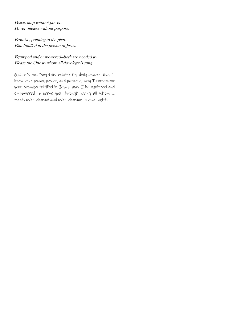Peace, limp without power. Power, lifeless without purpose.

Promise, pointing to the plan. Plan fulfilled in the person of Jesus.

# Equipped and empowered—both are needed to Please the One to whom all doxology is sung.

God, it's me. May this become my daily prayer: may I know your peace, power, and purpose; may I remember your promise fulfilled in Jesus; may I be equipped and empowered to serve you through loving all whom I meet, ever pleased and ever pleasing in your sight.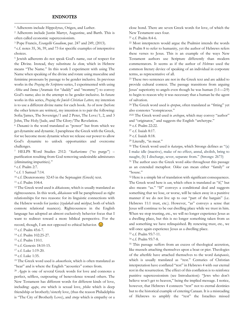#### ENDNOTES

<span id="page-23-0"></span><sup>1</sup> Adherents include Hippolytus, Origen, and Luther.

<span id="page-23-1"></span><sup>2</sup> Adherents include Justin Martyr, Augustine, and Barth. This is often called economic supercessionism.

<span id="page-23-2"></span><sup>3</sup> Pope Francis, *Evangellii Guadium*, par. 247 and 249, (2013).

<span id="page-23-3"></span><sup>4</sup> c.f. notes 35, 36, 59, and 73 for specific examples of interpretive choices.

<span id="page-23-4"></span><sup>5</sup> Jewish adherents do not speak God's name, out of respect for the Divine. Instead, they substitute *ha shem*, which in Hebrew means "The Name." In this work I experiment with using The Name when speaking of the divine and rotate using masculine and feminine pronouns by passage to be gender inclusive. In previous works in the *Praying the Scriptures* series, I experimented with using *Abba* and *Imma* (Aramaic for "daddy" and "mommy") to convey God's name; also in the attempt to be gender inclusive. In future works in this series, *Praying the Jewish Christian Letters,* my intention is to use a different divine name for each book. As of now (before the other letters are written), my intention is to pair the following: Sofia/James, The Sovereign/1 and 2 Peter, The Love/1, 2, and 3 John, The Holy/Jude, and The Glory/The Revelation.

<span id="page-23-5"></span><sup>6</sup> *Dunamis* is the word translated as "power" but from which we get dynamite and dynamic. I paraphrase the Greek with the Greek, for we become more dynamic when we release our power to allow God's dynamite to unlock opportunities and overcome challenges.

<span id="page-23-6"></span><sup>7</sup> HELPS Word Studies 2512: "*katharismos* ("to purge") – purification resulting from God removing undesirable admixtures (eliminating impurities)."

<span id="page-23-7"></span><sup>8</sup> c.f. Psalm 2:7.

<span id="page-23-8"></span><sup>9</sup> c.f. 1 Samuel 7:14.

<span id="page-23-9"></span><sup>10</sup> c.f. Deuteronomy 32:43 in the Septuagint (Greek) text.

<span id="page-23-10"></span><sup>11</sup> c.f. Psalm 104:4.

<span id="page-23-11"></span><sup>12</sup> The Greek word used is *dikaiosune*, which is usually translated as righteousness. In this work, *dikaiosune* will be paraphrased as right relationships for two reasons: for its linguistic connections with the Hebrew words for justice (*tzedakah* and *mishpat*, both of which connote relational nuances). Righteousness in the English language has adopted an almost exclusively behavior focus that I want to redirect toward a more biblical perspective. For the record, though, I am not opposed to ethical behavior.

<span id="page-23-12"></span><sup>13</sup> c.f. Psalm 45:6-7.

<span id="page-23-14"></span><sup>15</sup> c.f. Psalm 110:1.

<span id="page-23-16"></span><sup>17</sup> c.f. Luke 1:19-20.

<span id="page-23-17"></span><sup>18</sup> c.f. Luke 1:35.

<span id="page-23-18"></span><sup>19</sup> The Greek word used is *akousthesin*, which is often translated as "hear" and is where the English "acoustics" comes from.

<span id="page-23-19"></span><sup>20</sup> *Agape* is one of several Greek words for love and connotes a perfect, selfless, outpouring of benevolence toward others. The New Testament has different words for different kinds of love, including: *agape*, *eros* which is sexual love, *philos* which is deep friendship or brotherly/sisterly love, (thus the reason Philadelphia is "The City of Brotherly Love), and *storge* which is empathy or a

close bond. There are seven Greek words for love, of which the New Testament uses four.

<sup>21</sup> c.f. Psalm 8:4-6.

<sup>22</sup> Most interpreters would argue the Psalmist intends the words in Psalm 8 to refer to humanity, yet the author of Hebrews refers these verses to Jesus. This is an example of the ways New Testament authors use Scripture differently than modern commentators. It seems as if the author of *Hebrews* used the common literary device of speaking of an individual in corporate terms, as representative of all.

<sup>23</sup> These two sentences are not in the Greek text and are added to provide cultural context. The passage transitions from arguing Jesus' superiority to angels even though he was human (1:1—2:9) to begin to reason why it was necessary that a human be the agent of salvation.

<sup>24</sup> The Greek word used is *eprepon*, often translated as "fitting" yet also connotes "conspicuous."

<sup>2525</sup> The Greek word used is *archegon*, which may convey "author" and "originator," and suggests the English "archetype."

<sup>26</sup> c.f. Psalm 22:22.

<sup>28</sup> c.f. Isaiah 8:18.

<sup>29</sup> Literally, "in meat."

<sup>30</sup> The Greek word used is *katargeo*, which Strongs defines as "(a) I make idle (inactive), make of no effect, annul, abolish, bring to naught, (b) I discharge, sever, separate from." (Strongs: 2673)

<sup>31</sup> The author uses the Greek word *oikos* throughout this passage as an extended metaphor. *Oikos* can mean either "family" or "house."

<sup>32</sup> Here is a simple bit of translation with significant consequences. The Greek word here is *ean*, which often is translated as "if," but also means "as." "If" conveys a conditional deal and suggests something that we lose, or worse, will be taken away in a punitive manner if we do not live up to our "part of the bargain" (i.e. Hebrews 11:1 trust, etc.). However, "as" conveys a sense that Jesus will continue to be our dwelling place while we trust in him. When we stop trusting, etc., we will no longer experience Jesus as a dwelling place, but this is no longer something taken from us and something we have relinquished. By renewing trust, etc., we will once again experience Jesus as a dwelling place.

<sup>33</sup> c.f. Psalm 95:7-11.

<sup>34</sup> c.f. Psalm 95:7-8.

<sup>35</sup> This passage suffers from an excess of theological accretion, like mussels attaching themselves upon a boat or pier. Theologies of the afterlife have attached themselves to the word *katapausis*, which is usually translated as "rest." Centuries of Christian interpretation have conflated "rest" in Hebrews 4 with our eternal rest in the resurrection. The effect of this conflation is to reinforce punitive supercessionism (see Introduction): "Jews who don't believe won't get to heaven," being the implied message. I notice, however, that Hebrews 4 connects "rest" not to eternal destinies but to the historical example of entering Canaan. It is a misreading of Hebrews to amplify the "rest" the Israelites missed

<span id="page-23-13"></span><sup>14</sup> c.f. Psalm 102:25-27.

<span id="page-23-15"></span><sup>16</sup> c.f. Genesis 18:10-15.

<sup>27</sup> c.f. Isaiah 8:17.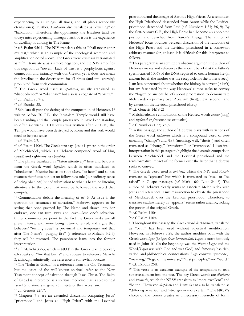experiencing to all things, all times, and all places (especially eternal ones). Further, *katapausis* also translates as "dwelling" or "habitation." Therefore, the opportunity the Israelites (and we today) miss experiencing through a lack of trust is the experience of dwelling or abiding in The Name.

<span id="page-24-1"></span><span id="page-24-0"></span><sup>36</sup> c.f. Psalm 95:11. The NIV translates this as "shall never enter my rest," which is an example of the theological accretion and amplification noted above. The Greek word *ei* is usually translated as "if." I translate *ei* as a simple negation, and the NIV amplifies this negation as "never." Lack of trust is a prophylactic against connection and intimacy with our Creator yet it does not mean the Israelites in the desert were for all times (and into eternity) prohibited from such communion.

<span id="page-24-2"></span><sup>37</sup> The Greek word used is *apatheian*, usually translated as "disobedience" or "obstinate" but also is a cognate of "apathy." <sup>38</sup> c.f. Psalm 95:7-8.

<span id="page-24-3"></span><sup>39</sup> c.f. Exodus 28.

<span id="page-24-4"></span><sup>40</sup> Scholars dispute the dating of the composition of Hebrews. If written before 70 C.E., the Jerusalem Temple would still have been standing and the Temple priests would have been standing to offer sacrifices. If Hebrews was written after 70 C.E., the Temple would have been destroyed by Rome and this verb would need to be past tense.

<span id="page-24-8"></span><span id="page-24-7"></span><span id="page-24-6"></span><span id="page-24-5"></span><sup>41</sup> c.f. Psalm 2:7.

<span id="page-24-9"></span><sup>42</sup> c.f. Psalm 110:4. The Greek text says Jesus is priest in the order of Melchizedek, which is a Hebrew compound word of king (*melek*) and righteousness (*tzedek*).

<span id="page-24-11"></span><span id="page-24-10"></span><sup>43</sup> The phrase translated as "listen attentively" here and below is from the Greek word *hupakoe*, which is often translated as "obedience." *Hupakoe* has as its root *akouo,* "to hear," and so has nuances that focus not just on following a rule (our ordinary sense of being obedient) but of submission to what is heard or listening attentively to the word that must be followed, the word that compels.

<sup>44</sup> Commentators debate the meaning of 6:4-6. At issue is the question of "assurance of salvation." Hebrews appears to be saying that once grasped by The Name and drawn into her embrace, one can turn away and leave—lose one's salvation. Other commentators point to the fact the Greek verbs are all present tense, with none being future oriented, and argue that believers' "turning away" is provincial and temporary and that after The Name's "purging fire" (a reference to Malachi 3:2-3) they will be restored. The paraphrase leans into the former interpretation.

<span id="page-24-14"></span><span id="page-24-13"></span><span id="page-24-12"></span><sup>45</sup> c.f. Malachi 3:2-3, which is NOT in the Greek text. However, 6:6 speaks of "fire that burns" and appears to reference Malachi 3, although, admittedly, the reference is somewhat obscure.

<sup>46</sup> The "Balm in Gilead" is a reference from the Old Testament, but the lyrics of the well-known spiritual refer to the New Testament concept of salvation through Jesus Christ. The Balm of Gilead is interpreted as a spiritual medicine that is able to heal Israel (and sinners in general) in spite of their worst sin. <sup>47</sup> c.f. Genesis 22:17.

<sup>48</sup> Chapters 7-9 are an extended discussion comparing Jesus' "priesthood" and Jesus as "High Priest" with the Levitical priesthood and the lineage of Aaronic High Priests. As a reminder, the High Priesthood descended from Aaron while the Levitical priesthood descended from Levi (c.f. Numbers 1:53; 3:6, 9). By the first-century C.E., the High Priest had become an appointed position and detached from Aaron's lineage. The author of Hebrews' focus bounces between discussion of the functions of the High Priest and the Levitical priesthood in a somewhat arbitrary manner (or, at least, it is difficult for this interpreter to follow).

<sup>49</sup> This paragraph is an admittedly obscure argument the author of Hebrews makes and references the ancient belief that the father's sperm carried 100% of the DNA required to create human life (in ancient belief, the mother was the receptacle for the father's seed). I am less concerned about whether the biology is correct (it isn't) but am fascinated by the way Hebrews' author seeks to convey the "logic" of ancient beliefs about procreation to demonstrate Melchizedek's primacy over Abraham (first), Levi (second), and by extension the Levitical priesthood (third).

<sup>50</sup> c.f. Genesis 14:18-21.

<sup>51</sup> Melchizedek is a combination of the Hebrew words *melech* (king) and *tzedakah* (righteousness or justice).

<sup>52</sup> c.f. Numbers 1:53; 3:6, 9.

<sup>53</sup> In this passage, the author of Hebrews plays with variations of the Greek word *metathesis* which is a compound word of *meta*  (meaning "change") and *thesis* (meaning, well, "thesis") and often translated as "change," "transform," or "transpose." I lean into interpretation in this passage to highlight the dynamic comparison between Melchizedek and the Levitical priesthood and the transformative impact of the former over the latter that Hebrews seeks to convey.

<sup>54</sup> The Greek word used is *anistemi*, which the NIV and NRSV translate as "appears" but which is translated as "rise" or "be raised" in Gospel passages (c.f. Mark 16:9, Luke 24:46). The author of Hebrews clearly wants to associate Melchizedek with Jesus and references Jesus' resurrection to elevate the priesthood of Melchizedek over the Levitical priesthood. Therefore, to translate *anistemi* merely as "appears" seems rather anemic, lacking the power of the original Greek.

<sup>55</sup> c.f. Psalm 110:4.

<sup>56</sup> c.f. Psalm 110:4.

<sup>57</sup> Throughout this passage the Greek word *horkomosias*, translated as "oath," has been used without adjectival modification. However, in Hebrews 7:28, the author modifies oath with the Greek word *logos* (*ho logos de tes horkomosias*). *Logos* is most famously used in John 1:1 (In the beginning was the Word/*Logos* and the Word/*Logos* was with God and was God) and famously has rich, varied, and philosophical connotations. *Logos* conveys "purpose," "meaning," "logic of the universe," "first principles," and "word." <sup>58</sup> c.f. Exodus 26ff.

<sup>59</sup> This verse is an excellent example of the temptation to read supercessionism into the text. The key Greek words are *diaphoros* and *kreittosin*, which the NRSV translates as "more excellent" and "better." However, *diaphoros* and *kreittosin* can also be translated as "differing or varied" and "stronger or more certain." The NRSV's choice of the former creates an unnecessary hierarchy of form.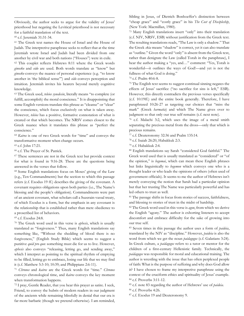Obviously, the author seeks to argue for the validity of Jesus' priesthood but negating the Levitical priesthood is not necessary for a faithful translation of the text.

<sup>60</sup> c.f. Jeremiah 31:31-34.

<span id="page-25-0"></span><sup>61</sup> The Greek text names the House of Israel and the House of Judah. The interpretive paraphrase seeks to reflect that at the time Jeremiah wrote Israel and Judah had been divided from one another by civil war and both nations ("Houses") were in exile.

<sup>62</sup> This couplet reflects Hebrews 8:11 where the Greek words *ginosko* and *eido* are used. Both words translate as "know" but *ginosko* conveys the nuance of personal experience (e.g. "to know another in 'the biblical sense'") and *eido* conveys perception and intuition. Jeremiah invites his hearers beyond merely cognitive knowledge.

<span id="page-25-4"></span><span id="page-25-3"></span><span id="page-25-2"></span><span id="page-25-1"></span><sup>63</sup> The Greek used, *teleios synedesin*, literally means "to complete (or fulfill, accomplish) the moral conscience." It is disappointing that some English versions translate this phrase as "cleanse" or "clear" the conscience, which focus exclusively on what is taken away. However, *teleios* has a positive, formative connotation of what is created or that which becomes. The NRSV comes closest to the Greek nuance when it translates this phrase as "perfect the conscience."

<span id="page-25-5"></span><sup>64</sup> *Kairos* is one of two Greek words for "time" and conveys the transformative moment when change occurs.

<span id="page-25-6"></span><sup>65</sup> c.f. John 17:21.

<sup>66</sup> c.f. The Prayer of St. Patrick.

<span id="page-25-7"></span><sup>67</sup> These sentences are not in the Greek text but provide context for what is found in 9:16-28. These are the questions being answered in the verses that follow.

<sup>68</sup> Some English translations focus on Moses' giving of the Law (e.g., Ten Commandments) but the section to which this passage refers (c.f. Exodus 19 ff.) describes the giving of the covenant. A covenant requires obligations upon both parties (i.e., The Name's blessing and the people's obligation). Commandments were part of an ancient covenant, what scholars call a Suzerain-vassal treaty, of which Exodus is a form, but the emphasis in any covenant is the relationship that is established rather than mere obedience to a proscribed list of behaviors.

<span id="page-25-8"></span><sup>69</sup> c.f. Exodus 24:8.

<sup>70</sup> The Greek word used in this verse is *aphesis*, which is usually translated as "forgiveness." Thus, many English translations say something like, "Without the shedding of blood there is no forgiveness," (English Study Bible) which seems to suggest a punitive *quid pro quo*: something must die for us to live. However, *aphesis* also conveys "releasing, letting go, and sending away," which I interpret as pointing to the spiritual rhythm of emptying to be filled, letting go to embrace, losing our life that we may find it (c.f. Matthew 5:3-10; 10:39; and Philippians 2:6-11).

<span id="page-25-10"></span><span id="page-25-9"></span><sup>71</sup> *Chronos* and *kairos* are the Greek words for "time." *Chronos* conveys chronological time, and *kairos* conveys the key moment when transformation happens.

<span id="page-25-12"></span><span id="page-25-11"></span><sup>72</sup> I pray, Gentle Reader, that you hear this prayer as satire. I seek, Friend, to convey the hubris of modern readers in our judgment of the ancients while remaining blissfully in denial that our era is far more barbaric (though we pretend otherwise). I am reminded,

Sibling in Jesus, of Dietrich Bonhoeffer's distinction between "cheap grace" and "costly grace" in his *The Cost of Discipleship*, (New York: Macmillan, 1980).

<sup>73</sup> Many English translations insert "only" into their translation (c.f. NIV, NRSV, ESB) without justification from the Greek text. The resulting translations reads, "The Law is only a shadow." That the Greek *skia* means "shadow" is correct, yet it can also translate as "outline." Given the word "only" is absent from the Greek text, rather than denigrate the Law (called Torah in the paraphrase), I hear the author making a "yes, and…" comment: "Yes, Torah is wonderful—it outlines the ways of God!—and yet is not the fullness of what God is doing."

#### <sup>74</sup> c.f. Psalm 40:6-8.

<sup>75</sup> The English text seems to suggest continual sinning negates the effects of Jesus' sacrifice ("no sacrifice for sins is left," ESB). However, this directly contradicts the previous verses specifically (c.f. 10:19ff.) and the entire book generally. Therefore, I have paraphrased 10:26-27 as targeting our choices that "miss the mark" (Greek *harmatia*) and which The Name gives over to judgment so that only our true self remains (c.f. next note).

<sup>76</sup> c.f. Malachi 3:2, which uses the image of a metal smith separating the precious metal from the dross—only that which is precious remains.

<sup>77</sup> c.f. Deuteronomy 32:36 and Psalm 135:14.

<sup>78</sup> c.f. Isaiah 26:20, Habakkuk 2:3.

<sup>79</sup> c.f. Habakkuk 2:4.

<sup>80</sup> English translations say Sarah "considered God faithful." The Greek word used that is usually translated as "considered" or "of the opinion," is *hegomai*, which can mean these English phrases but links linguistically to *hegemon* which conveys one who is a thought leader or who leads the opinions of others (often used of government officials). It seems to me the author of Hebrews isn't merely conveying the notion that Sarah had a particular opinion but that her trusting The Name was particularly powerful and has led others to trust as well.

<sup>81</sup> The passage shifts in focus from stories of success, faithfulness, and blessing to stories of trust in the midst of hardship.

<sup>82</sup> The Greek word used in this verse is *agon*, from which we derive the English "agony." The author is exhorting listeners to accept discomfort and embrace difficulty for the sake of growing into our true self.

<sup>83</sup> Seven times in this passage the author uses a form of *paideia*, translated by the NIV as "discipline." However, *paideia* is also the word from which we get the noun *paidagogos* (c.f. Galatians 3:24). In Greek culture, a *paidagogos* refers to a tutor or mentor for the children of a first-century Hellenistic family. Technically, the *paidagogos* was responsible for moral and educational training. The author is wrestling with the issue that has often perplexed people of faith: What is the purpose of suffering and why does God allow it? I have chosen to frame my interpretive paraphrase using the context of the cruciform ethics and spirituality of Jesus' example. <sup>84</sup> c.f. Proverbs 3:11-12.

<sup>85</sup> c.f. note 83 regarding the author of Hebrews' use of *paideia*.

<sup>86</sup> c.f. Proverbs 4:26.

<sup>87</sup> c.f. Exodus 19 and Deuteronomy 9.